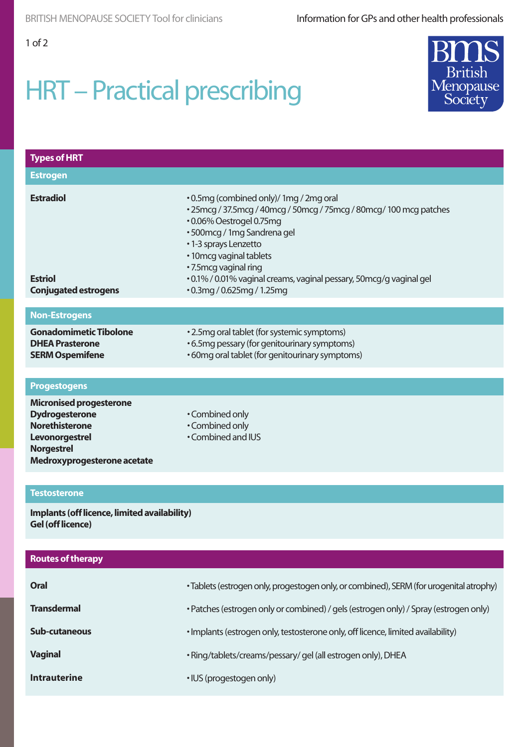# HRT – Practical prescribing



| <b>Types of HRT</b>                                                                                                                                    |                                                                                                                                                                                                                                                                                                                                                                          |  |  |
|--------------------------------------------------------------------------------------------------------------------------------------------------------|--------------------------------------------------------------------------------------------------------------------------------------------------------------------------------------------------------------------------------------------------------------------------------------------------------------------------------------------------------------------------|--|--|
| <b>Estrogen</b>                                                                                                                                        |                                                                                                                                                                                                                                                                                                                                                                          |  |  |
| <b>Estradiol</b><br><b>Estriol</b><br><b>Conjugated estrogens</b>                                                                                      | .0.5mg (combined only)/ 1mg / 2mg oral<br>• 25 mcg / 37.5 mcg / 40 mcg / 50 mcg / 75 mcg / 80 mcg / 100 mcg patches<br>•0.06% Oestrogel 0.75mg<br>• 500 mcg / 1 mg Sandrena gel<br>•1-3 sprays Lenzetto<br>• 10 mcg vaginal tablets<br>• 7.5 mcg vaginal ring<br>· 0.1% / 0.01% vaginal creams, vaginal pessary, 50mcg/g vaginal gel<br>$\cdot$ 0.3mg / 0.625mg / 1.25mg |  |  |
| <b>Non-Estrogens</b>                                                                                                                                   |                                                                                                                                                                                                                                                                                                                                                                          |  |  |
| <b>Gonadomimetic Tibolone</b><br><b>DHEA Prasterone</b><br><b>SERM Ospemifene</b>                                                                      | • 2.5mg oral tablet (for systemic symptoms)<br>•6.5mg pessary (for genitourinary symptoms)<br>•60mg oral tablet (for genitourinary symptoms)                                                                                                                                                                                                                             |  |  |
| <b>Progestogens</b>                                                                                                                                    |                                                                                                                                                                                                                                                                                                                                                                          |  |  |
| <b>Micronised progesterone</b><br><b>Dydrogesterone</b><br><b>Norethisterone</b><br>Levonorgestrel<br><b>Norgestrel</b><br>Medroxyprogesterone acetate | • Combined only<br>• Combined only<br>• Combined and IUS                                                                                                                                                                                                                                                                                                                 |  |  |
|                                                                                                                                                        |                                                                                                                                                                                                                                                                                                                                                                          |  |  |
| <b>Testosterone</b><br>Implants (off licence, limited availability)<br><b>Gel (off licence)</b>                                                        |                                                                                                                                                                                                                                                                                                                                                                          |  |  |
| <b>Routes of therapy</b>                                                                                                                               |                                                                                                                                                                                                                                                                                                                                                                          |  |  |
| Oral                                                                                                                                                   | · Tablets (estrogen only, progestogen only, or combined), SERM (for urogenital atrophy)                                                                                                                                                                                                                                                                                  |  |  |
| <b>Transdermal</b>                                                                                                                                     | • Patches (estrogen only or combined) / gels (estrogen only) / Spray (estrogen only)                                                                                                                                                                                                                                                                                     |  |  |
| <b>Sub-cutaneous</b>                                                                                                                                   | · Implants (estrogen only, testosterone only, off licence, limited availability)                                                                                                                                                                                                                                                                                         |  |  |
| <b>Vaginal</b>                                                                                                                                         | · Ring/tablets/creams/pessary/gel (all estrogen only), DHEA                                                                                                                                                                                                                                                                                                              |  |  |
| <b>Intrauterine</b>                                                                                                                                    | · IUS (progestogen only)                                                                                                                                                                                                                                                                                                                                                 |  |  |